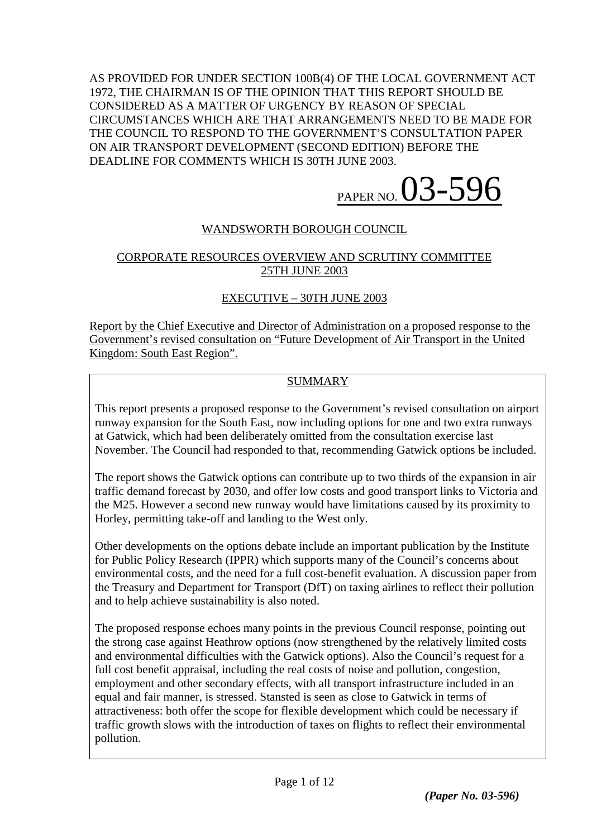AS PROVIDED FOR UNDER SECTION 100B(4) OF THE LOCAL GOVERNMENT ACT 1972, THE CHAIRMAN IS OF THE OPINION THAT THIS REPORT SHOULD BE CONSIDERED AS A MATTER OF URGENCY BY REASON OF SPECIAL CIRCUMSTANCES WHICH ARE THAT ARRANGEMENTS NEED TO BE MADE FOR THE COUNCIL TO RESPOND TO THE GOVERNMENT'S CONSULTATION PAPER ON AIR TRANSPORT DEVELOPMENT (SECOND EDITION) BEFORE THE DEADLINE FOR COMMENTS WHICH IS 30TH JUNE 2003.

PAPER NO. 03-596

# WANDSWORTH BOROUGH COUNCIL

## CORPORATE RESOURCES OVERVIEW AND SCRUTINY COMMITTEE 25TH JUNE 2003

## EXECUTIVE – 30TH JUNE 2003

Report by the Chief Executive and Director of Administration on a proposed response to the Government's revised consultation on "Future Development of Air Transport in the United Kingdom: South East Region".

# **SUMMARY**

This report presents a proposed response to the Government's revised consultation on airport runway expansion for the South East, now including options for one and two extra runways at Gatwick, which had been deliberately omitted from the consultation exercise last November. The Council had responded to that, recommending Gatwick options be included.

The report shows the Gatwick options can contribute up to two thirds of the expansion in air traffic demand forecast by 2030, and offer low costs and good transport links to Victoria and the M25. However a second new runway would have limitations caused by its proximity to Horley, permitting take-off and landing to the West only.

Other developments on the options debate include an important publication by the Institute for Public Policy Research (IPPR) which supports many of the Council's concerns about environmental costs, and the need for a full cost-benefit evaluation. A discussion paper from the Treasury and Department for Transport (DfT) on taxing airlines to reflect their pollution and to help achieve sustainability is also noted.

The proposed response echoes many points in the previous Council response, pointing out the strong case against Heathrow options (now strengthened by the relatively limited costs and environmental difficulties with the Gatwick options). Also the Council's request for a full cost benefit appraisal, including the real costs of noise and pollution, congestion, employment and other secondary effects, with all transport infrastructure included in an equal and fair manner, is stressed. Stansted is seen as close to Gatwick in terms of attractiveness: both offer the scope for flexible development which could be necessary if traffic growth slows with the introduction of taxes on flights to reflect their environmental pollution.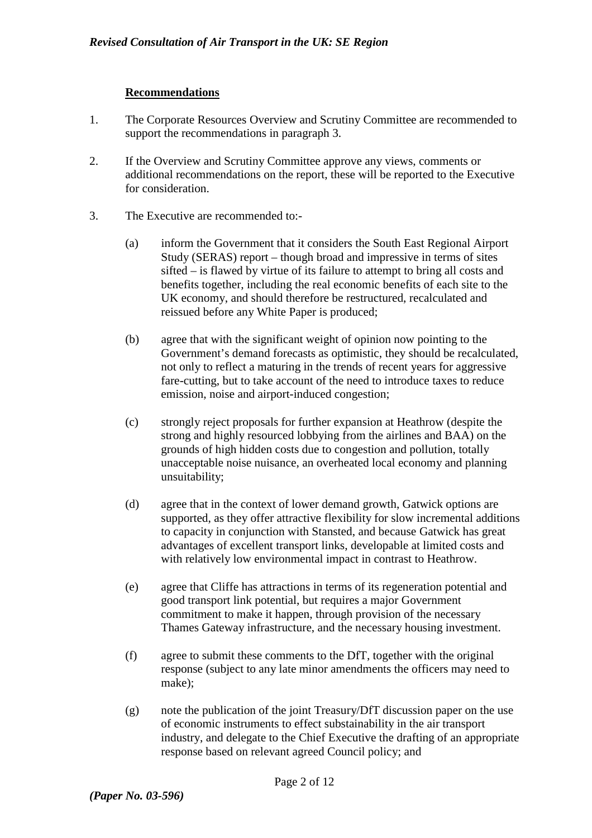### **Recommendations**

- 1. The Corporate Resources Overview and Scrutiny Committee are recommended to support the recommendations in paragraph 3.
- 2. If the Overview and Scrutiny Committee approve any views, comments or additional recommendations on the report, these will be reported to the Executive for consideration.
- 3. The Executive are recommended to:-
	- (a) inform the Government that it considers the South East Regional Airport Study (SERAS) report – though broad and impressive in terms of sites sifted – is flawed by virtue of its failure to attempt to bring all costs and benefits together, including the real economic benefits of each site to the UK economy, and should therefore be restructured, recalculated and reissued before any White Paper is produced;
	- (b) agree that with the significant weight of opinion now pointing to the Government's demand forecasts as optimistic, they should be recalculated, not only to reflect a maturing in the trends of recent years for aggressive fare-cutting, but to take account of the need to introduce taxes to reduce emission, noise and airport-induced congestion;
	- (c) strongly reject proposals for further expansion at Heathrow (despite the strong and highly resourced lobbying from the airlines and BAA) on the grounds of high hidden costs due to congestion and pollution, totally unacceptable noise nuisance, an overheated local economy and planning unsuitability;
	- (d) agree that in the context of lower demand growth, Gatwick options are supported, as they offer attractive flexibility for slow incremental additions to capacity in conjunction with Stansted, and because Gatwick has great advantages of excellent transport links, developable at limited costs and with relatively low environmental impact in contrast to Heathrow.
	- (e) agree that Cliffe has attractions in terms of its regeneration potential and good transport link potential, but requires a major Government commitment to make it happen, through provision of the necessary Thames Gateway infrastructure, and the necessary housing investment.
	- (f) agree to submit these comments to the DfT, together with the original response (subject to any late minor amendments the officers may need to make);
	- (g) note the publication of the joint Treasury/DfT discussion paper on the use of economic instruments to effect substainability in the air transport industry, and delegate to the Chief Executive the drafting of an appropriate response based on relevant agreed Council policy; and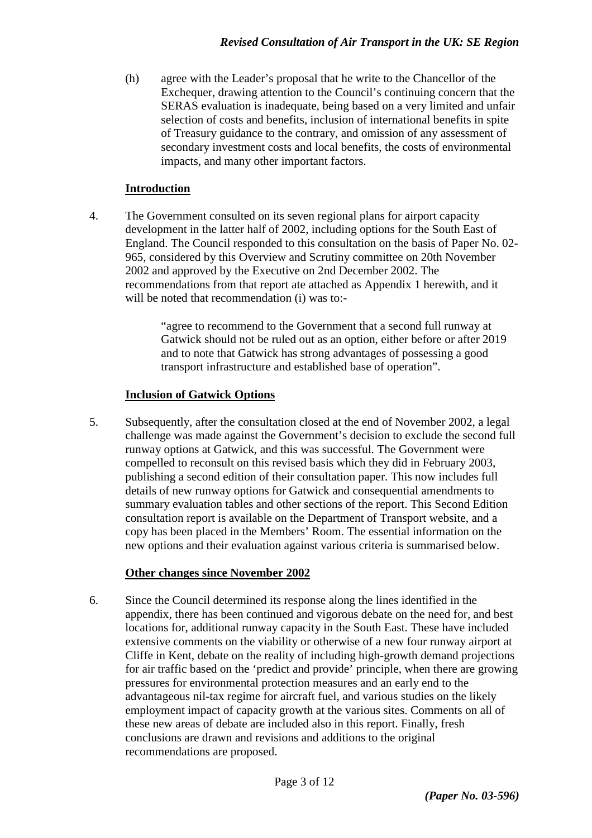(h) agree with the Leader's proposal that he write to the Chancellor of the Exchequer, drawing attention to the Council's continuing concern that the SERAS evaluation is inadequate, being based on a very limited and unfair selection of costs and benefits, inclusion of international benefits in spite of Treasury guidance to the contrary, and omission of any assessment of secondary investment costs and local benefits, the costs of environmental impacts, and many other important factors.

## **Introduction**

4. The Government consulted on its seven regional plans for airport capacity development in the latter half of 2002, including options for the South East of England. The Council responded to this consultation on the basis of Paper No. 02- 965, considered by this Overview and Scrutiny committee on 20th November 2002 and approved by the Executive on 2nd December 2002. The recommendations from that report ate attached as Appendix 1 herewith, and it will be noted that recommendation (i) was to:-

> "agree to recommend to the Government that a second full runway at Gatwick should not be ruled out as an option, either before or after 2019 and to note that Gatwick has strong advantages of possessing a good transport infrastructure and established base of operation".

## **Inclusion of Gatwick Options**

5. Subsequently, after the consultation closed at the end of November 2002, a legal challenge was made against the Government's decision to exclude the second full runway options at Gatwick, and this was successful. The Government were compelled to reconsult on this revised basis which they did in February 2003, publishing a second edition of their consultation paper. This now includes full details of new runway options for Gatwick and consequential amendments to summary evaluation tables and other sections of the report. This Second Edition consultation report is available on the Department of Transport website, and a copy has been placed in the Members' Room. The essential information on the new options and their evaluation against various criteria is summarised below.

# **Other changes since November 2002**

6. Since the Council determined its response along the lines identified in the appendix, there has been continued and vigorous debate on the need for, and best locations for, additional runway capacity in the South East. These have included extensive comments on the viability or otherwise of a new four runway airport at Cliffe in Kent, debate on the reality of including high-growth demand projections for air traffic based on the 'predict and provide' principle, when there are growing pressures for environmental protection measures and an early end to the advantageous nil-tax regime for aircraft fuel, and various studies on the likely employment impact of capacity growth at the various sites. Comments on all of these new areas of debate are included also in this report. Finally, fresh conclusions are drawn and revisions and additions to the original recommendations are proposed.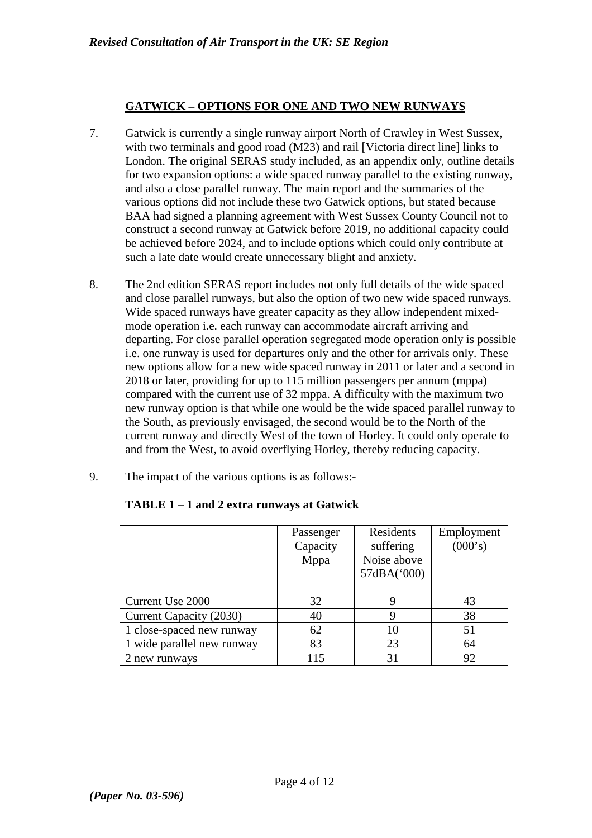## **GATWICK – OPTIONS FOR ONE AND TWO NEW RUNWAYS**

- 7. Gatwick is currently a single runway airport North of Crawley in West Sussex, with two terminals and good road (M23) and rail [Victoria direct line] links to London. The original SERAS study included, as an appendix only, outline details for two expansion options: a wide spaced runway parallel to the existing runway, and also a close parallel runway. The main report and the summaries of the various options did not include these two Gatwick options, but stated because BAA had signed a planning agreement with West Sussex County Council not to construct a second runway at Gatwick before 2019, no additional capacity could be achieved before 2024, and to include options which could only contribute at such a late date would create unnecessary blight and anxiety.
- 8. The 2nd edition SERAS report includes not only full details of the wide spaced and close parallel runways, but also the option of two new wide spaced runways. Wide spaced runways have greater capacity as they allow independent mixedmode operation i.e. each runway can accommodate aircraft arriving and departing. For close parallel operation segregated mode operation only is possible i.e. one runway is used for departures only and the other for arrivals only. These new options allow for a new wide spaced runway in 2011 or later and a second in 2018 or later, providing for up to 115 million passengers per annum (mppa) compared with the current use of 32 mppa. A difficulty with the maximum two new runway option is that while one would be the wide spaced parallel runway to the South, as previously envisaged, the second would be to the North of the current runway and directly West of the town of Horley. It could only operate to and from the West, to avoid overflying Horley, thereby reducing capacity.
- 9. The impact of the various options is as follows:-

|                            | Passenger | Residents   | Employment |
|----------------------------|-----------|-------------|------------|
|                            | Capacity  | suffering   | (000's)    |
|                            | Mppa      | Noise above |            |
|                            |           | 57dBA('000) |            |
|                            |           |             |            |
| Current Use 2000           | 32        |             | 43         |
| Current Capacity (2030)    | 40        |             | 38         |
| 1 close-spaced new runway  | 62        | 10          | 51         |
| 1 wide parallel new runway | 83        | 23          | 64         |
| 2 new runways              | 115       | 31          | 92         |

## **TABLE 1 – 1 and 2 extra runways at Gatwick**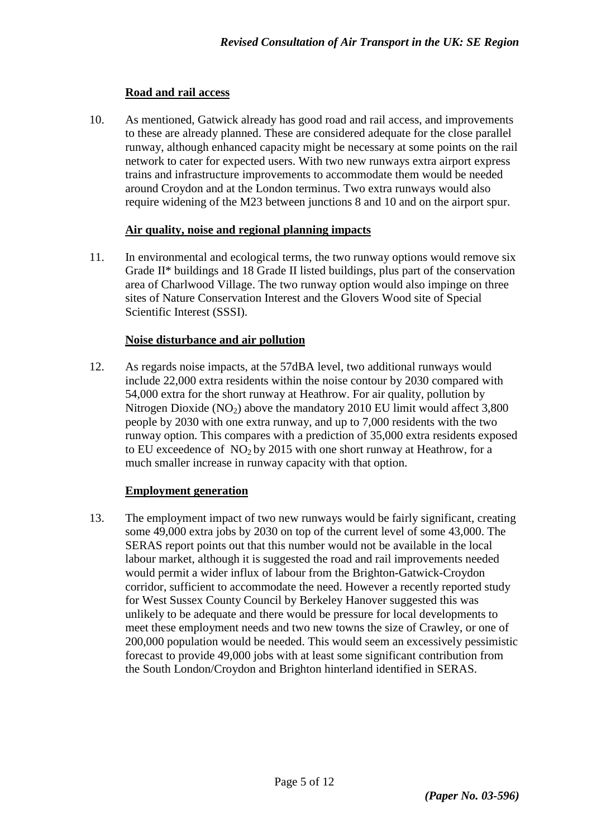## **Road and rail access**

10. As mentioned, Gatwick already has good road and rail access, and improvements to these are already planned. These are considered adequate for the close parallel runway, although enhanced capacity might be necessary at some points on the rail network to cater for expected users. With two new runways extra airport express trains and infrastructure improvements to accommodate them would be needed around Croydon and at the London terminus. Two extra runways would also require widening of the M23 between junctions 8 and 10 and on the airport spur.

### **Air quality, noise and regional planning impacts**

11. In environmental and ecological terms, the two runway options would remove six Grade II\* buildings and 18 Grade II listed buildings, plus part of the conservation area of Charlwood Village. The two runway option would also impinge on three sites of Nature Conservation Interest and the Glovers Wood site of Special Scientific Interest (SSSI).

### **Noise disturbance and air pollution**

12. As regards noise impacts, at the 57dBA level, two additional runways would include 22,000 extra residents within the noise contour by 2030 compared with 54,000 extra for the short runway at Heathrow. For air quality, pollution by Nitrogen Dioxide  $(NO_2)$  above the mandatory 2010 EU limit would affect 3,800 people by 2030 with one extra runway, and up to 7,000 residents with the two runway option. This compares with a prediction of 35,000 extra residents exposed to EU exceedence of  $NO<sub>2</sub>$  by 2015 with one short runway at Heathrow, for a much smaller increase in runway capacity with that option.

#### **Employment generation**

13. The employment impact of two new runways would be fairly significant, creating some 49,000 extra jobs by 2030 on top of the current level of some 43,000. The SERAS report points out that this number would not be available in the local labour market, although it is suggested the road and rail improvements needed would permit a wider influx of labour from the Brighton-Gatwick-Croydon corridor, sufficient to accommodate the need. However a recently reported study for West Sussex County Council by Berkeley Hanover suggested this was unlikely to be adequate and there would be pressure for local developments to meet these employment needs and two new towns the size of Crawley, or one of 200,000 population would be needed. This would seem an excessively pessimistic forecast to provide 49,000 jobs with at least some significant contribution from the South London/Croydon and Brighton hinterland identified in SERAS.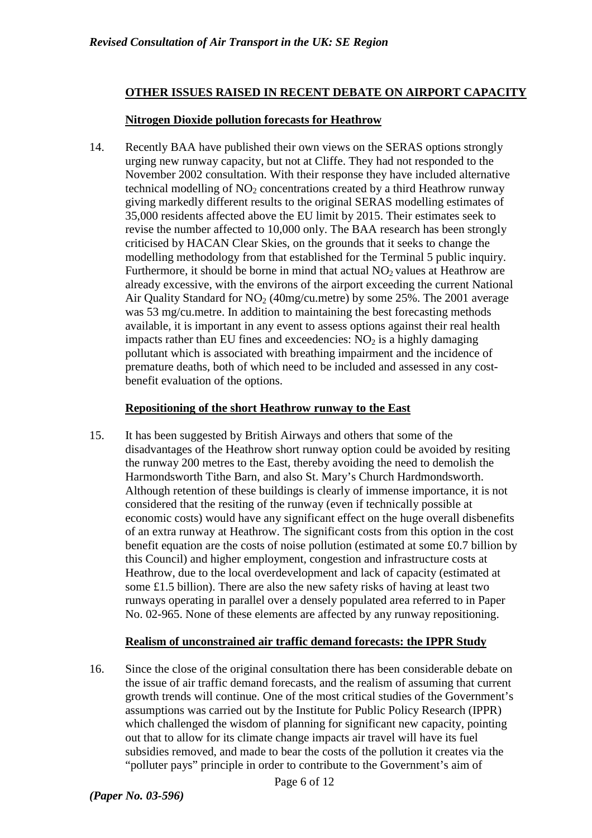## **OTHER ISSUES RAISED IN RECENT DEBATE ON AIRPORT CAPACITY**

## **Nitrogen Dioxide pollution forecasts for Heathrow**

14. Recently BAA have published their own views on the SERAS options strongly urging new runway capacity, but not at Cliffe. They had not responded to the November 2002 consultation. With their response they have included alternative technical modelling of  $NO<sub>2</sub>$  concentrations created by a third Heathrow runway giving markedly different results to the original SERAS modelling estimates of 35,000 residents affected above the EU limit by 2015. Their estimates seek to revise the number affected to 10,000 only. The BAA research has been strongly criticised by HACAN Clear Skies, on the grounds that it seeks to change the modelling methodology from that established for the Terminal 5 public inquiry. Furthermore, it should be borne in mind that actual  $NO<sub>2</sub>$  values at Heathrow are already excessive, with the environs of the airport exceeding the current National Air Quality Standard for  $NO<sub>2</sub>$  (40mg/cu.metre) by some 25%. The 2001 average was 53 mg/cu.metre. In addition to maintaining the best forecasting methods available, it is important in any event to assess options against their real health impacts rather than EU fines and exceedencies:  $NO<sub>2</sub>$  is a highly damaging pollutant which is associated with breathing impairment and the incidence of premature deaths, both of which need to be included and assessed in any costbenefit evaluation of the options.

### **Repositioning of the short Heathrow runway to the East**

15. It has been suggested by British Airways and others that some of the disadvantages of the Heathrow short runway option could be avoided by resiting the runway 200 metres to the East, thereby avoiding the need to demolish the Harmondsworth Tithe Barn, and also St. Mary's Church Hardmondsworth. Although retention of these buildings is clearly of immense importance, it is not considered that the resiting of the runway (even if technically possible at economic costs) would have any significant effect on the huge overall disbenefits of an extra runway at Heathrow. The significant costs from this option in the cost benefit equation are the costs of noise pollution (estimated at some £0.7 billion by this Council) and higher employment, congestion and infrastructure costs at Heathrow, due to the local overdevelopment and lack of capacity (estimated at some £1.5 billion). There are also the new safety risks of having at least two runways operating in parallel over a densely populated area referred to in Paper No. 02-965. None of these elements are affected by any runway repositioning.

#### **Realism of unconstrained air traffic demand forecasts: the IPPR Study**

16. Since the close of the original consultation there has been considerable debate on the issue of air traffic demand forecasts, and the realism of assuming that current growth trends will continue. One of the most critical studies of the Government's assumptions was carried out by the Institute for Public Policy Research (IPPR) which challenged the wisdom of planning for significant new capacity, pointing out that to allow for its climate change impacts air travel will have its fuel subsidies removed, and made to bear the costs of the pollution it creates via the "polluter pays" principle in order to contribute to the Government's aim of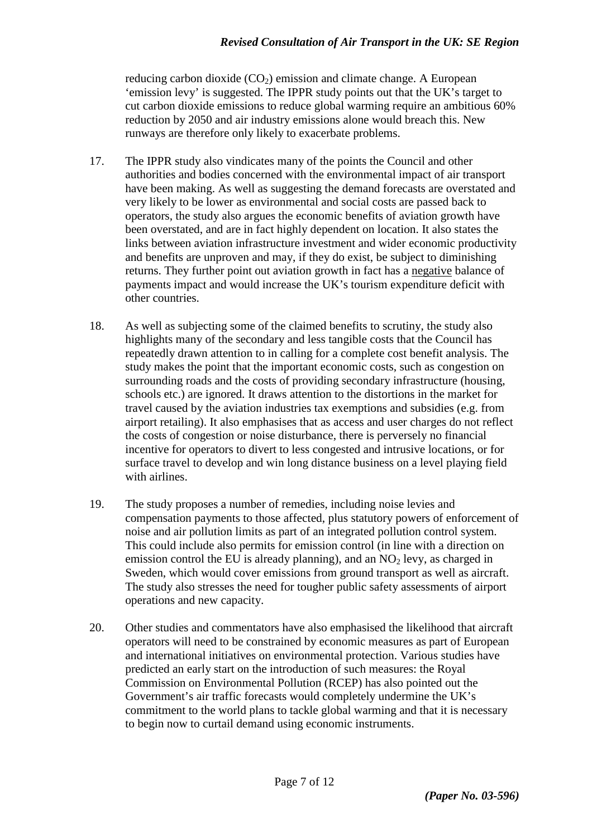reducing carbon dioxide  $(CO<sub>2</sub>)$  emission and climate change. A European 'emission levy' is suggested. The IPPR study points out that the UK's target to cut carbon dioxide emissions to reduce global warming require an ambitious 60% reduction by 2050 and air industry emissions alone would breach this. New runways are therefore only likely to exacerbate problems.

- 17. The IPPR study also vindicates many of the points the Council and other authorities and bodies concerned with the environmental impact of air transport have been making. As well as suggesting the demand forecasts are overstated and very likely to be lower as environmental and social costs are passed back to operators, the study also argues the economic benefits of aviation growth have been overstated, and are in fact highly dependent on location. It also states the links between aviation infrastructure investment and wider economic productivity and benefits are unproven and may, if they do exist, be subject to diminishing returns. They further point out aviation growth in fact has a negative balance of payments impact and would increase the UK's tourism expenditure deficit with other countries.
- 18. As well as subjecting some of the claimed benefits to scrutiny, the study also highlights many of the secondary and less tangible costs that the Council has repeatedly drawn attention to in calling for a complete cost benefit analysis. The study makes the point that the important economic costs, such as congestion on surrounding roads and the costs of providing secondary infrastructure (housing, schools etc.) are ignored. It draws attention to the distortions in the market for travel caused by the aviation industries tax exemptions and subsidies (e.g. from airport retailing). It also emphasises that as access and user charges do not reflect the costs of congestion or noise disturbance, there is perversely no financial incentive for operators to divert to less congested and intrusive locations, or for surface travel to develop and win long distance business on a level playing field with airlines.
- 19. The study proposes a number of remedies, including noise levies and compensation payments to those affected, plus statutory powers of enforcement of noise and air pollution limits as part of an integrated pollution control system. This could include also permits for emission control (in line with a direction on emission control the EU is already planning), and an  $NO<sub>2</sub>$  levy, as charged in Sweden, which would cover emissions from ground transport as well as aircraft. The study also stresses the need for tougher public safety assessments of airport operations and new capacity.
- 20. Other studies and commentators have also emphasised the likelihood that aircraft operators will need to be constrained by economic measures as part of European and international initiatives on environmental protection. Various studies have predicted an early start on the introduction of such measures: the Royal Commission on Environmental Pollution (RCEP) has also pointed out the Government's air traffic forecasts would completely undermine the UK's commitment to the world plans to tackle global warming and that it is necessary to begin now to curtail demand using economic instruments.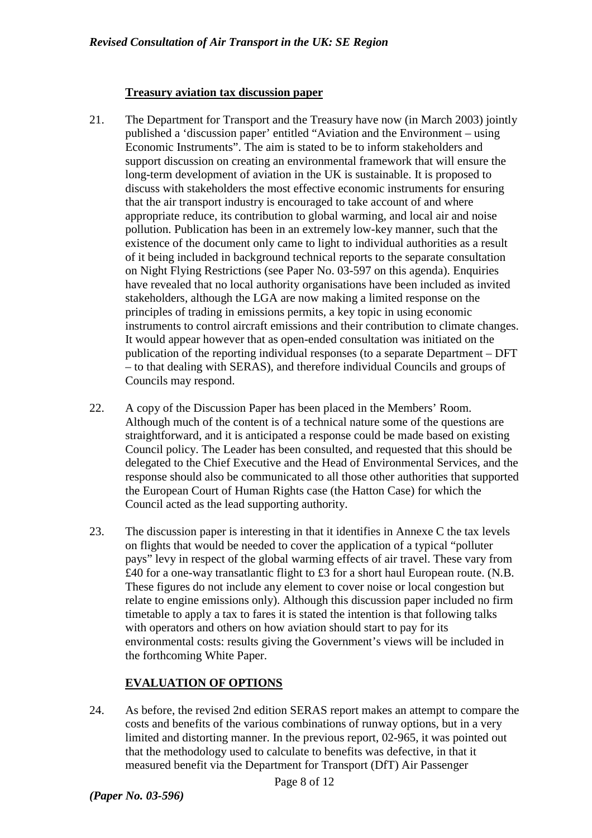### **Treasury aviation tax discussion paper**

- 21. The Department for Transport and the Treasury have now (in March 2003) jointly published a 'discussion paper' entitled "Aviation and the Environment – using Economic Instruments". The aim is stated to be to inform stakeholders and support discussion on creating an environmental framework that will ensure the long-term development of aviation in the UK is sustainable. It is proposed to discuss with stakeholders the most effective economic instruments for ensuring that the air transport industry is encouraged to take account of and where appropriate reduce, its contribution to global warming, and local air and noise pollution. Publication has been in an extremely low-key manner, such that the existence of the document only came to light to individual authorities as a result of it being included in background technical reports to the separate consultation on Night Flying Restrictions (see Paper No. 03-597 on this agenda). Enquiries have revealed that no local authority organisations have been included as invited stakeholders, although the LGA are now making a limited response on the principles of trading in emissions permits, a key topic in using economic instruments to control aircraft emissions and their contribution to climate changes. It would appear however that as open-ended consultation was initiated on the publication of the reporting individual responses (to a separate Department – DFT – to that dealing with SERAS), and therefore individual Councils and groups of Councils may respond.
- 22. A copy of the Discussion Paper has been placed in the Members' Room. Although much of the content is of a technical nature some of the questions are straightforward, and it is anticipated a response could be made based on existing Council policy. The Leader has been consulted, and requested that this should be delegated to the Chief Executive and the Head of Environmental Services, and the response should also be communicated to all those other authorities that supported the European Court of Human Rights case (the Hatton Case) for which the Council acted as the lead supporting authority.
- 23. The discussion paper is interesting in that it identifies in Annexe C the tax levels on flights that would be needed to cover the application of a typical "polluter pays" levy in respect of the global warming effects of air travel. These vary from £40 for a one-way transatlantic flight to £3 for a short haul European route. (N.B. These figures do not include any element to cover noise or local congestion but relate to engine emissions only). Although this discussion paper included no firm timetable to apply a tax to fares it is stated the intention is that following talks with operators and others on how aviation should start to pay for its environmental costs: results giving the Government's views will be included in the forthcoming White Paper.

## **EVALUATION OF OPTIONS**

24. As before, the revised 2nd edition SERAS report makes an attempt to compare the costs and benefits of the various combinations of runway options, but in a very limited and distorting manner. In the previous report, 02-965, it was pointed out that the methodology used to calculate to benefits was defective, in that it measured benefit via the Department for Transport (DfT) Air Passenger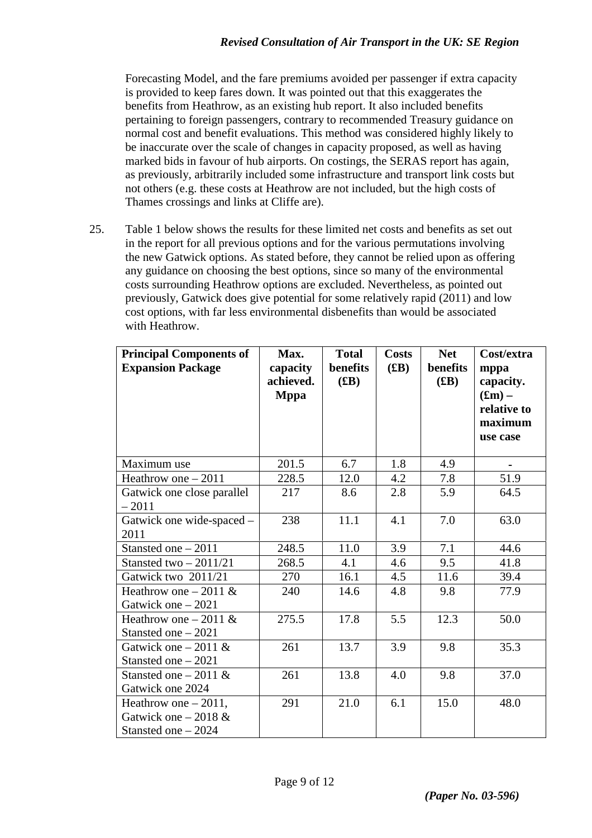Forecasting Model, and the fare premiums avoided per passenger if extra capacity is provided to keep fares down. It was pointed out that this exaggerates the benefits from Heathrow, as an existing hub report. It also included benefits pertaining to foreign passengers, contrary to recommended Treasury guidance on normal cost and benefit evaluations. This method was considered highly likely to be inaccurate over the scale of changes in capacity proposed, as well as having marked bids in favour of hub airports. On costings, the SERAS report has again, as previously, arbitrarily included some infrastructure and transport link costs but not others (e.g. these costs at Heathrow are not included, but the high costs of Thames crossings and links at Cliffe are).

25. Table 1 below shows the results for these limited net costs and benefits as set out in the report for all previous options and for the various permutations involving the new Gatwick options. As stated before, they cannot be relied upon as offering any guidance on choosing the best options, since so many of the environmental costs surrounding Heathrow options are excluded. Nevertheless, as pointed out previously, Gatwick does give potential for some relatively rapid (2011) and low cost options, with far less environmental disbenefits than would be associated with Heathrow.

| <b>Principal Components of</b><br><b>Expansion Package</b>               | Max.<br>capacity<br>achieved.<br><b>Mppa</b> | <b>Total</b><br>benefits<br>(EB) | <b>Costs</b><br>(EB) | <b>Net</b><br>benefits<br>(EB) | Cost/extra<br>mppa<br>capacity.<br>$(f_{\rm sm})$ –<br>relative to<br>maximum<br>use case |
|--------------------------------------------------------------------------|----------------------------------------------|----------------------------------|----------------------|--------------------------------|-------------------------------------------------------------------------------------------|
| Maximum use                                                              | 201.5                                        | 6.7                              | 1.8                  | 4.9                            | $\qquad \qquad \blacksquare$                                                              |
| Heathrow one $-2011$                                                     | 228.5                                        | 12.0                             | 4.2                  | 7.8                            | 51.9                                                                                      |
| Gatwick one close parallel<br>$-2011$                                    | 217                                          | 8.6                              | 2.8                  | 5.9                            | 64.5                                                                                      |
| Gatwick one wide-spaced -<br>2011                                        | 238                                          | 11.1                             | 4.1                  | 7.0                            | 63.0                                                                                      |
| Stansted one $-2011$                                                     | 248.5                                        | 11.0                             | 3.9                  | 7.1                            | 44.6                                                                                      |
| Stansted two $-2011/21$                                                  | 268.5                                        | 4.1                              | 4.6                  | 9.5                            | 41.8                                                                                      |
| Gatwick two 2011/21                                                      | 270                                          | 16.1                             | 4.5                  | 11.6                           | 39.4                                                                                      |
| Heathrow one $-2011 \&$<br>Gatwick one $-2021$                           | 240                                          | 14.6                             | 4.8                  | 9.8                            | 77.9                                                                                      |
| Heathrow one $-2011 \&$<br>Stansted one - 2021                           | 275.5                                        | 17.8                             | 5.5                  | 12.3                           | 50.0                                                                                      |
| Gatwick one $-2011 \&$<br>Stansted one $-2021$                           | 261                                          | 13.7                             | 3.9                  | 9.8                            | 35.3                                                                                      |
| Stansted one $-2011 \&$<br>Gatwick one 2024                              | 261                                          | 13.8                             | 4.0                  | 9.8                            | 37.0                                                                                      |
| Heathrow one $-2011$ ,<br>Gatwick one $-2018 \&$<br>Stansted one $-2024$ | 291                                          | 21.0                             | 6.1                  | 15.0                           | 48.0                                                                                      |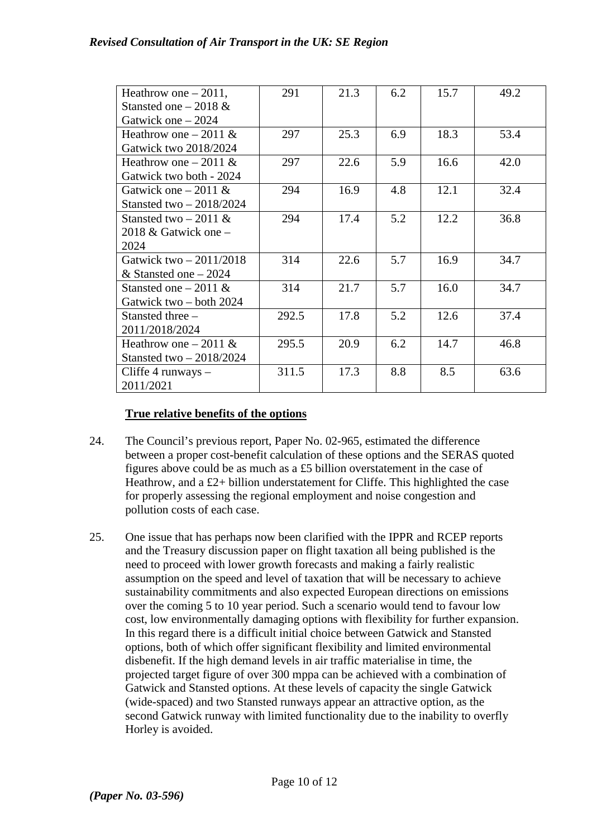## *Revised Consultation of Air Transport in the UK: SE Region*

| Heathrow one $-2011$ ,    | 291   | 21.3 | 6.2 | 15.7 | 49.2 |
|---------------------------|-------|------|-----|------|------|
| Stansted one $-2018 \&$   |       |      |     |      |      |
| Gatwick one $-2024$       |       |      |     |      |      |
| Heathrow one $-2011 \&$   | 297   | 25.3 | 6.9 | 18.3 | 53.4 |
| Gatwick two 2018/2024     |       |      |     |      |      |
| Heathrow one $-2011 \&$   | 297   | 22.6 | 5.9 | 16.6 | 42.0 |
| Gatwick two both - 2024   |       |      |     |      |      |
| Gatwick one $-2011 \&$    | 294   | 16.9 | 4.8 | 12.1 | 32.4 |
| Stansted two $-2018/2024$ |       |      |     |      |      |
| Stansted two $-2011 \&$   | 294   | 17.4 | 5.2 | 12.2 | 36.8 |
| 2018 & Gatwick one $-$    |       |      |     |      |      |
| 2024                      |       |      |     |      |      |
| Gatwick two $-2011/2018$  | 314   | 22.6 | 5.7 | 16.9 | 34.7 |
| & Stansted one $-2024$    |       |      |     |      |      |
| Stansted one $-2011 \&$   | 314   | 21.7 | 5.7 | 16.0 | 34.7 |
| Gatwick two – both 2024   |       |      |     |      |      |
| Stansted three -          | 292.5 | 17.8 | 5.2 | 12.6 | 37.4 |
| 2011/2018/2024            |       |      |     |      |      |
| Heathrow one $-2011 \&$   | 295.5 | 20.9 | 6.2 | 14.7 | 46.8 |
| Stansted two $-2018/2024$ |       |      |     |      |      |
| Cliffe 4 runways $-$      | 311.5 | 17.3 | 8.8 | 8.5  | 63.6 |
| 2011/2021                 |       |      |     |      |      |

## **True relative benefits of the options**

- 24. The Council's previous report, Paper No. 02-965, estimated the difference between a proper cost-benefit calculation of these options and the SERAS quoted figures above could be as much as a £5 billion overstatement in the case of Heathrow, and a  $£2+$  billion understatement for Cliffe. This highlighted the case for properly assessing the regional employment and noise congestion and pollution costs of each case.
- 25. One issue that has perhaps now been clarified with the IPPR and RCEP reports and the Treasury discussion paper on flight taxation all being published is the need to proceed with lower growth forecasts and making a fairly realistic assumption on the speed and level of taxation that will be necessary to achieve sustainability commitments and also expected European directions on emissions over the coming 5 to 10 year period. Such a scenario would tend to favour low cost, low environmentally damaging options with flexibility for further expansion. In this regard there is a difficult initial choice between Gatwick and Stansted options, both of which offer significant flexibility and limited environmental disbenefit. If the high demand levels in air traffic materialise in time, the projected target figure of over 300 mppa can be achieved with a combination of Gatwick and Stansted options. At these levels of capacity the single Gatwick (wide-spaced) and two Stansted runways appear an attractive option, as the second Gatwick runway with limited functionality due to the inability to overfly Horley is avoided.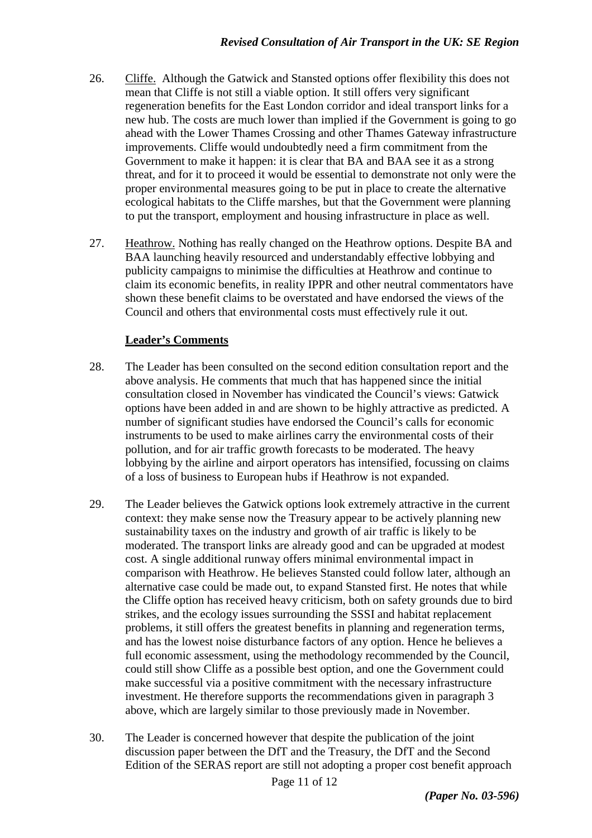- 26. Cliffe. Although the Gatwick and Stansted options offer flexibility this does not mean that Cliffe is not still a viable option. It still offers very significant regeneration benefits for the East London corridor and ideal transport links for a new hub. The costs are much lower than implied if the Government is going to go ahead with the Lower Thames Crossing and other Thames Gateway infrastructure improvements. Cliffe would undoubtedly need a firm commitment from the Government to make it happen: it is clear that BA and BAA see it as a strong threat, and for it to proceed it would be essential to demonstrate not only were the proper environmental measures going to be put in place to create the alternative ecological habitats to the Cliffe marshes, but that the Government were planning to put the transport, employment and housing infrastructure in place as well.
- 27. Heathrow. Nothing has really changed on the Heathrow options. Despite BA and BAA launching heavily resourced and understandably effective lobbying and publicity campaigns to minimise the difficulties at Heathrow and continue to claim its economic benefits, in reality IPPR and other neutral commentators have shown these benefit claims to be overstated and have endorsed the views of the Council and others that environmental costs must effectively rule it out.

# **Leader's Comments**

- 28. The Leader has been consulted on the second edition consultation report and the above analysis. He comments that much that has happened since the initial consultation closed in November has vindicated the Council's views: Gatwick options have been added in and are shown to be highly attractive as predicted. A number of significant studies have endorsed the Council's calls for economic instruments to be used to make airlines carry the environmental costs of their pollution, and for air traffic growth forecasts to be moderated. The heavy lobbying by the airline and airport operators has intensified, focussing on claims of a loss of business to European hubs if Heathrow is not expanded.
- 29. The Leader believes the Gatwick options look extremely attractive in the current context: they make sense now the Treasury appear to be actively planning new sustainability taxes on the industry and growth of air traffic is likely to be moderated. The transport links are already good and can be upgraded at modest cost. A single additional runway offers minimal environmental impact in comparison with Heathrow. He believes Stansted could follow later, although an alternative case could be made out, to expand Stansted first. He notes that while the Cliffe option has received heavy criticism, both on safety grounds due to bird strikes, and the ecology issues surrounding the SSSI and habitat replacement problems, it still offers the greatest benefits in planning and regeneration terms, and has the lowest noise disturbance factors of any option. Hence he believes a full economic assessment, using the methodology recommended by the Council, could still show Cliffe as a possible best option, and one the Government could make successful via a positive commitment with the necessary infrastructure investment. He therefore supports the recommendations given in paragraph 3 above, which are largely similar to those previously made in November.
- 30. The Leader is concerned however that despite the publication of the joint discussion paper between the DfT and the Treasury, the DfT and the Second Edition of the SERAS report are still not adopting a proper cost benefit approach